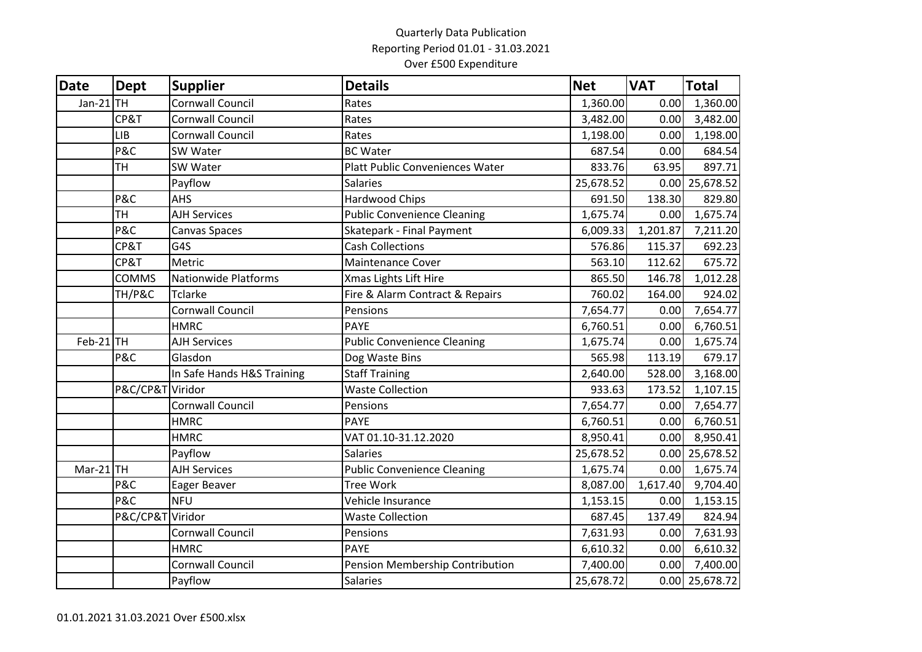## Quarterly Data Publication Reporting Period 01.01 - 31.03.2021 Over £500 Expenditure

| Date        | <b>Dept</b>      | <b>Supplier</b>             | <b>Details</b>                     | <b>Net</b> | <b>VAT</b> | <b>Total</b>     |
|-------------|------------------|-----------------------------|------------------------------------|------------|------------|------------------|
| $Jan-21$    | <b>TH</b>        | <b>Cornwall Council</b>     | Rates                              | 1,360.00   | 0.00       | 1,360.00         |
|             | CP&T             | Cornwall Council            | Rates                              | 3,482.00   | 0.00       | 3,482.00         |
|             | <b>LIB</b>       | Cornwall Council            | Rates                              | 1,198.00   | 0.00       | 1,198.00         |
|             | P&C              | SW Water                    | <b>BC Water</b>                    | 687.54     | 0.00       | 684.54           |
|             | TH               | SW Water                    | Platt Public Conveniences Water    | 833.76     | 63.95      | 897.71           |
|             |                  | Payflow                     | <b>Salaries</b>                    | 25,678.52  |            | 0.00 25,678.52   |
|             | P&C              | AHS                         | Hardwood Chips                     | 691.50     | 138.30     | 829.80           |
|             | TH               | <b>AJH Services</b>         | <b>Public Convenience Cleaning</b> | 1,675.74   | 0.00       | 1,675.74         |
|             | P&C              | Canvas Spaces               | Skatepark - Final Payment          | 6,009.33   | 1,201.87   | 7,211.20         |
|             | CP&T             | G4S                         | <b>Cash Collections</b>            | 576.86     | 115.37     | 692.23           |
|             | CP&T             | Metric                      | <b>Maintenance Cover</b>           | 563.10     | 112.62     | 675.72           |
|             | <b>COMMS</b>     | <b>Nationwide Platforms</b> | Xmas Lights Lift Hire              | 865.50     | 146.78     | 1,012.28         |
|             | TH/P&C           | <b>Tclarke</b>              | Fire & Alarm Contract & Repairs    | 760.02     | 164.00     | 924.02           |
|             |                  | <b>Cornwall Council</b>     | Pensions                           | 7,654.77   | 0.00       | 7,654.77         |
|             |                  | <b>HMRC</b>                 | <b>PAYE</b>                        | 6,760.51   | 0.00       | 6,760.51         |
| $Feb-21$ TH |                  | <b>AJH Services</b>         | <b>Public Convenience Cleaning</b> | 1,675.74   | 0.00       | 1,675.74         |
|             | P&C              | Glasdon                     | Dog Waste Bins                     | 565.98     | 113.19     | 679.17           |
|             |                  | In Safe Hands H&S Training  | <b>Staff Training</b>              | 2,640.00   | 528.00     | 3,168.00         |
|             | P&C/CP&T Viridor |                             | <b>Waste Collection</b>            | 933.63     | 173.52     | 1,107.15         |
|             |                  | Cornwall Council            | Pensions                           | 7,654.77   | 0.00       | 7,654.77         |
|             |                  | <b>HMRC</b>                 | <b>PAYE</b>                        | 6,760.51   | 0.00       | 6,760.51         |
|             |                  | <b>HMRC</b>                 | VAT 01.10-31.12.2020               | 8,950.41   | 0.00       | 8,950.41         |
|             |                  | Payflow                     | Salaries                           | 25,678.52  |            | $0.00$ 25,678.52 |
| Mar-21 TH   |                  | <b>AJH Services</b>         | <b>Public Convenience Cleaning</b> | 1,675.74   | 0.00       | 1,675.74         |
|             | P&C              | Eager Beaver                | <b>Tree Work</b>                   | 8,087.00   | 1,617.40   | 9,704.40         |
|             | P&C              | <b>NFU</b>                  | Vehicle Insurance                  | 1,153.15   | 0.00       | 1,153.15         |
|             | P&C/CP&T Viridor |                             | <b>Waste Collection</b>            | 687.45     | 137.49     | 824.94           |
|             |                  | Cornwall Council            | Pensions                           | 7,631.93   | 0.00       | 7,631.93         |
|             |                  | <b>HMRC</b>                 | <b>PAYE</b>                        | 6,610.32   | 0.00       | 6,610.32         |
|             |                  | Cornwall Council            | Pension Membership Contribution    | 7,400.00   | 0.00       | 7,400.00         |
|             |                  | Payflow                     | Salaries                           | 25,678.72  |            | $0.00$ 25,678.72 |